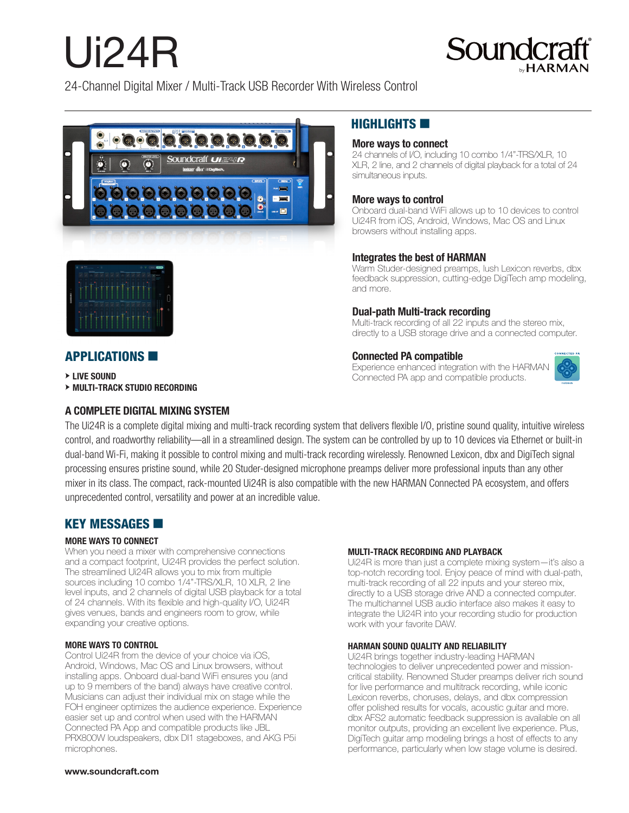# Ui24R



24-Channel Digital Mixer / Multi-Track USB Recorder With Wireless Control





# $H$ IGHLIGHTS

## More ways to connect

24 channels of I/O, including 10 combo 1/4"-TRS/XLR, 10 XLR, 2 line, and 2 channels of digital playback for a total of 24 simultaneous inputs.

### More ways to control

Onboard dual-band WiFi allows up to 10 devices to control Ui24R from iOS, Android, Windows, Mac OS and Linux browsers without installing apps.

## Integrates the best of HARMAN

Warm Studer-designed preamps, lush Lexicon reverbs, dbx feedback suppression, cutting-edge DigiTech amp modeling, and more.

## Dual-path Multi-track recording

Multi-track recording of all 22 inputs and the stereo mix, directly to a USB storage drive and a connected computer.

### Connected PA compatible

Experience enhanced integration with the HARMAN Connected PA app and compatible products.



# **APPLICATIONS**

**EXAMPLE SOUND** 

M **MULTI-TRACK STUDIO RECORDING**

## A COMPLETE DIGITAL MIXING SYSTEM

The Ui24R is a complete digital mixing and multi-track recording system that delivers flexible I/O, pristine sound quality, intuitive wireless control, and roadworthy reliability—all in a streamlined design. The system can be controlled by up to 10 devices via Ethernet or built-in dual-band Wi-Fi, making it possible to control mixing and multi-track recording wirelessly. Renowned Lexicon, dbx and DigiTech signal processing ensures pristine sound, while 20 Studer-designed microphone preamps deliver more professional inputs than any other mixer in its class. The compact, rack-mounted Ui24R is also compatible with the new HARMAN Connected PA ecosystem, and offers unprecedented control, versatility and power at an incredible value.

## **KEY MESSAGES <b>6**

#### **MORE WAYS TO CONNECT**

When you need a mixer with comprehensive connections and a compact footprint, Ui24R provides the perfect solution. The streamlined Ui24R allows you to mix from multiple sources including 10 combo 1/4"-TRS/XLR, 10 XLR, 2 line level inputs, and 2 channels of digital USB playback for a total of 24 channels. With its flexible and high-quality I/O, Ui24R gives venues, bands and engineers room to grow, while expanding your creative options.

#### **MORE WAYS TO CONTROL**

Control Ui24R from the device of your choice via iOS, Android, Windows, Mac OS and Linux browsers, without installing apps. Onboard dual-band WiFi ensures you (and up to 9 members of the band) always have creative control. Musicians can adjust their individual mix on stage while the FOH engineer optimizes the audience experience. Experience easier set up and control when used with the HARMAN Connected PA App and compatible products like JBL PRX800W loudspeakers, dbx DI1 stageboxes, and AKG P5i microphones.

#### **MULTI-TRACK RECORDING AND PLAYBACK**

Ui24R is more than just a complete mixing system—it's also a top-notch recording tool. Enjoy peace of mind with dual-path, multi-track recording of all 22 inputs and your stereo mix, directly to a USB storage drive AND a connected computer. The multichannel USB audio interface also makes it easy to integrate the Ui24R into your recording studio for production work with your favorite DAW.

#### **HARMAN SOUND QUALITY AND RELIABILITY**

Ui24R brings together industry-leading HARMAN technologies to deliver unprecedented power and missioncritical stability. Renowned Studer preamps deliver rich sound for live performance and multitrack recording, while iconic Lexicon reverbs, choruses, delays, and dbx compression offer polished results for vocals, acoustic guitar and more. dbx AFS2 automatic feedback suppression is available on all monitor outputs, providing an excellent live experience. Plus, DigiTech guitar amp modeling brings a host of effects to any performance, particularly when low stage volume is desired.

#### www.soundcraft.com